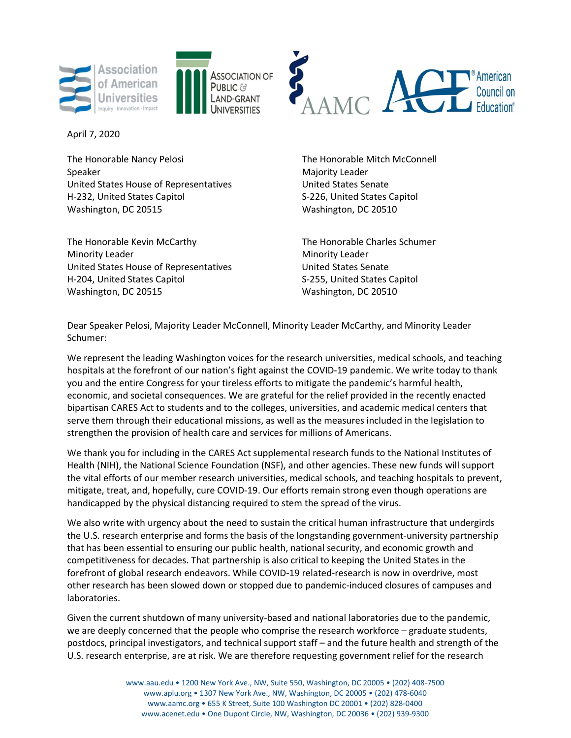





April 7, 2020

The Honorable Nancy Pelosi The Honorable Mitch McConnell Speaker Majority Leader Majority Leader United States House of Representatives **United States Senate** H-232, United States Capitol States Capitol S-226, United States Capitol Washington, DC 20515 Washington, DC 20510

The Honorable Kevin McCarthy The Honorable Charles Schumer Minority Leader **Minority Leader** Minority Leader United States House of Representatives **United States Senate** H-204, United States Capitol S-255, United States Capitol Washington, DC 20515 Washington, DC 20510

Dear Speaker Pelosi, Majority Leader McConnell, Minority Leader McCarthy, and Minority Leader Schumer:

We represent the leading Washington voices for the research universities, medical schools, and teaching hospitals at the forefront of our nation's fight against the COVID-19 pandemic. We write today to thank you and the entire Congress for your tireless efforts to mitigate the pandemic's harmful health, economic, and societal consequences. We are grateful for the relief provided in the recently enacted bipartisan CARES Act to students and to the colleges, universities, and academic medical centers that serve them through their educational missions, as well as the measures included in the legislation to strengthen the provision of health care and services for millions of Americans.

We thank you for including in the CARES Act supplemental research funds to the National Institutes of Health (NIH), the National Science Foundation (NSF), and other agencies. These new funds will support the vital efforts of our member research universities, medical schools, and teaching hospitals to prevent, mitigate, treat, and, hopefully, cure COVID-19. Our efforts remain strong even though operations are handicapped by the physical distancing required to stem the spread of the virus.

We also write with urgency about the need to sustain the critical human infrastructure that undergirds the U.S. research enterprise and forms the basis of the longstanding government-university partnership that has been essential to ensuring our public health, national security, and economic growth and competitiveness for decades. That partnership is also critical to keeping the United States in the forefront of global research endeavors. While COVID-19 related-research is now in overdrive, most other research has been slowed down or stopped due to pandemic-induced closures of campuses and laboratories.

Given the current shutdown of many university-based and national laboratories due to the pandemic, we are deeply concerned that the people who comprise the research workforce – graduate students, postdocs, principal investigators, and technical support staff – and the future health and strength of the U.S. research enterprise, are at risk. We are therefore requesting government relief for the research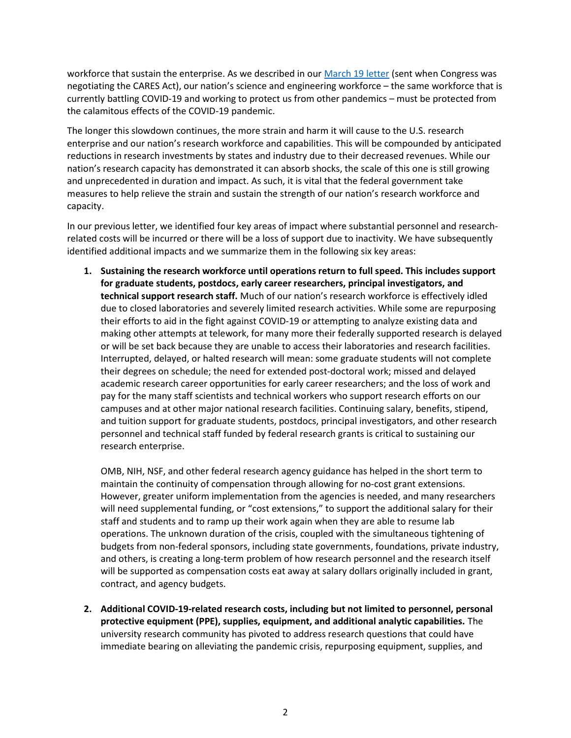workforce that sustain the enterprise. As we described in our March 19 letter (sent when Congress was negotiating the CARES Act), our nation's science and engineering workforce – the same workforce that is currently battling COVID-19 and working to protect us from other pandemics – must be protected from the calamitous effects of the COVID-19 pandemic.

The longer this slowdown continues, the more strain and harm it will cause to the U.S. research enterprise and our nation's research workforce and capabilities. This will be compounded by anticipated reductions in research investments by states and industry due to their decreased revenues. While our nation's research capacity has demonstrated it can absorb shocks, the scale of this one is still growing and unprecedented in duration and impact. As such, it is vital that the federal government take measures to help relieve the strain and sustain the strength of our nation's research workforce and capacity.

In our previous letter, we identified four key areas of impact where substantial personnel and researchrelated costs will be incurred or there will be a loss of support due to inactivity. We have subsequently identified additional impacts and we summarize them in the following six key areas:

1. Sustaining the research workforce until operations return to full speed. This includes support for graduate students, postdocs, early career researchers, principal investigators, and technical support research staff. Much of our nation's research workforce is effectively idled due to closed laboratories and severely limited research activities. While some are repurposing their efforts to aid in the fight against COVID-19 or attempting to analyze existing data and making other attempts at telework, for many more their federally supported research is delayed or will be set back because they are unable to access their laboratories and research facilities. Interrupted, delayed, or halted research will mean: some graduate students will not complete their degrees on schedule; the need for extended post-doctoral work; missed and delayed academic research career opportunities for early career researchers; and the loss of work and pay for the many staff scientists and technical workers who support research efforts on our campuses and at other major national research facilities. Continuing salary, benefits, stipend, and tuition support for graduate students, postdocs, principal investigators, and other research personnel and technical staff funded by federal research grants is critical to sustaining our research enterprise.

OMB, NIH, NSF, and other federal research agency guidance has helped in the short term to maintain the continuity of compensation through allowing for no-cost grant extensions. However, greater uniform implementation from the agencies is needed, and many researchers will need supplemental funding, or "cost extensions," to support the additional salary for their staff and students and to ramp up their work again when they are able to resume lab operations. The unknown duration of the crisis, coupled with the simultaneous tightening of budgets from non-federal sponsors, including state governments, foundations, private industry, and others, is creating a long-term problem of how research personnel and the research itself will be supported as compensation costs eat away at salary dollars originally included in grant, contract, and agency budgets.

2. Additional COVID-19-related research costs, including but not limited to personnel, personal protective equipment (PPE), supplies, equipment, and additional analytic capabilities. The university research community has pivoted to address research questions that could have immediate bearing on alleviating the pandemic crisis, repurposing equipment, supplies, and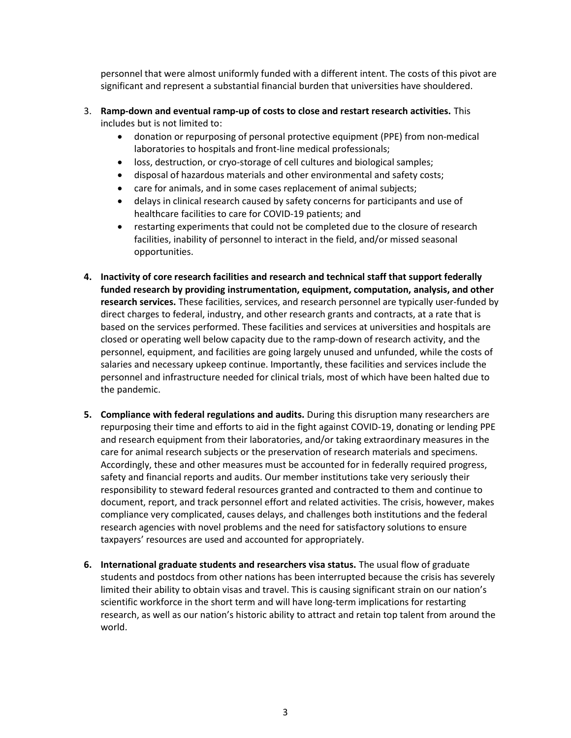personnel that were almost uniformly funded with a different intent. The costs of this pivot are significant and represent a substantial financial burden that universities have shouldered.

## 3. Ramp-down and eventual ramp-up of costs to close and restart research activities. This includes but is not limited to:

- donation or repurposing of personal protective equipment (PPE) from non-medical laboratories to hospitals and front-line medical professionals;
- loss, destruction, or cryo-storage of cell cultures and biological samples;
- disposal of hazardous materials and other environmental and safety costs;
- care for animals, and in some cases replacement of animal subjects;
- delays in clinical research caused by safety concerns for participants and use of healthcare facilities to care for COVID-19 patients; and
- restarting experiments that could not be completed due to the closure of research facilities, inability of personnel to interact in the field, and/or missed seasonal opportunities.
- 4. Inactivity of core research facilities and research and technical staff that support federally funded research by providing instrumentation, equipment, computation, analysis, and other research services. These facilities, services, and research personnel are typically user-funded by direct charges to federal, industry, and other research grants and contracts, at a rate that is based on the services performed. These facilities and services at universities and hospitals are closed or operating well below capacity due to the ramp-down of research activity, and the personnel, equipment, and facilities are going largely unused and unfunded, while the costs of salaries and necessary upkeep continue. Importantly, these facilities and services include the personnel and infrastructure needed for clinical trials, most of which have been halted due to the pandemic.
- 5. Compliance with federal regulations and audits. During this disruption many researchers are repurposing their time and efforts to aid in the fight against COVID-19, donating or lending PPE and research equipment from their laboratories, and/or taking extraordinary measures in the care for animal research subjects or the preservation of research materials and specimens. Accordingly, these and other measures must be accounted for in federally required progress, safety and financial reports and audits. Our member institutions take very seriously their responsibility to steward federal resources granted and contracted to them and continue to document, report, and track personnel effort and related activities. The crisis, however, makes compliance very complicated, causes delays, and challenges both institutions and the federal research agencies with novel problems and the need for satisfactory solutions to ensure taxpayers' resources are used and accounted for appropriately.
- 6. International graduate students and researchers visa status. The usual flow of graduate students and postdocs from other nations has been interrupted because the crisis has severely limited their ability to obtain visas and travel. This is causing significant strain on our nation's scientific workforce in the short term and will have long-term implications for restarting research, as well as our nation's historic ability to attract and retain top talent from around the world.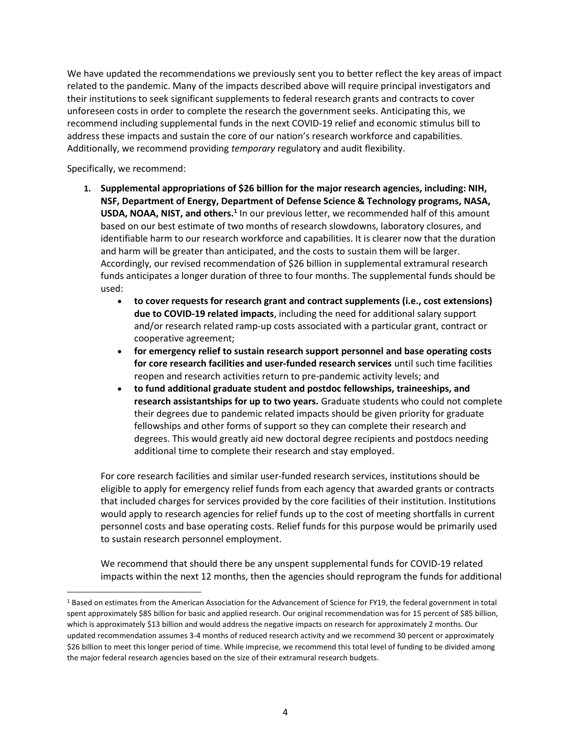We have updated the recommendations we previously sent you to better reflect the key areas of impact related to the pandemic. Many of the impacts described above will require principal investigators and their institutions to seek significant supplements to federal research grants and contracts to cover unforeseen costs in order to complete the research the government seeks. Anticipating this, we recommend including supplemental funds in the next COVID-19 relief and economic stimulus bill to address these impacts and sustain the core of our nation's research workforce and capabilities. Additionally, we recommend providing temporary regulatory and audit flexibility.

Specifically, we recommend:

- 1. Supplemental appropriations of \$26 billion for the major research agencies, including: NIH, NSF, Department of Energy, Department of Defense Science & Technology programs, NASA, USDA, NOAA, NIST, and others.<sup>1</sup> In our previous letter, we recommended half of this amount based on our best estimate of two months of research slowdowns, laboratory closures, and identifiable harm to our research workforce and capabilities. It is clearer now that the duration and harm will be greater than anticipated, and the costs to sustain them will be larger. Accordingly, our revised recommendation of \$26 billion in supplemental extramural research funds anticipates a longer duration of three to four months. The supplemental funds should be used:
	- to cover requests for research grant and contract supplements (i.e., cost extensions) due to COVID-19 related impacts, including the need for additional salary support and/or research related ramp-up costs associated with a particular grant, contract or cooperative agreement;
	- for emergency relief to sustain research support personnel and base operating costs for core research facilities and user-funded research services until such time facilities reopen and research activities return to pre-pandemic activity levels; and
	- to fund additional graduate student and postdoc fellowships, traineeships, and research assistantships for up to two years. Graduate students who could not complete their degrees due to pandemic related impacts should be given priority for graduate fellowships and other forms of support so they can complete their research and degrees. This would greatly aid new doctoral degree recipients and postdocs needing additional time to complete their research and stay employed.

For core research facilities and similar user-funded research services, institutions should be eligible to apply for emergency relief funds from each agency that awarded grants or contracts that included charges for services provided by the core facilities of their institution. Institutions would apply to research agencies for relief funds up to the cost of meeting shortfalls in current personnel costs and base operating costs. Relief funds for this purpose would be primarily used to sustain research personnel employment.

We recommend that should there be any unspent supplemental funds for COVID-19 related impacts within the next 12 months, then the agencies should reprogram the funds for additional

<sup>&</sup>lt;sup>1</sup> Based on estimates from the American Association for the Advancement of Science for FY19, the federal government in total spent approximately \$85 billion for basic and applied research. Our original recommendation was for 15 percent of \$85 billion, which is approximately \$13 billion and would address the negative impacts on research for approximately 2 months. Our updated recommendation assumes 3-4 months of reduced research activity and we recommend 30 percent or approximately \$26 billion to meet this longer period of time. While imprecise, we recommend this total level of funding to be divided among the major federal research agencies based on the size of their extramural research budgets.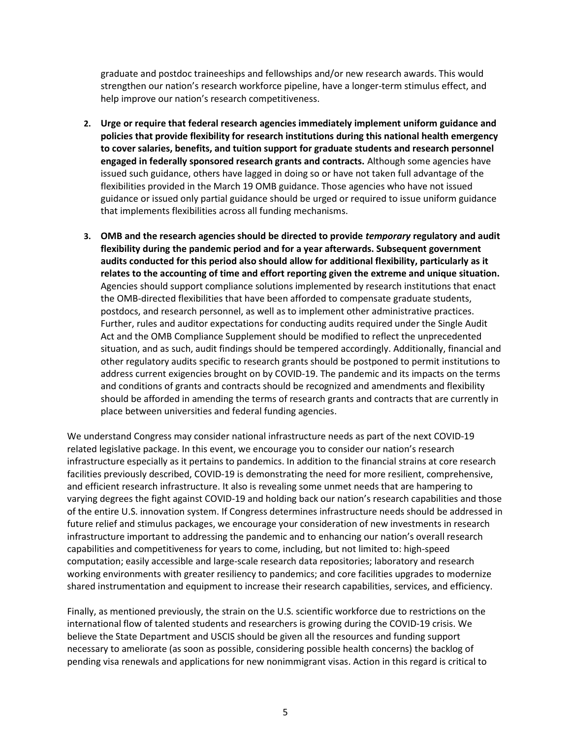graduate and postdoc traineeships and fellowships and/or new research awards. This would strengthen our nation's research workforce pipeline, have a longer-term stimulus effect, and help improve our nation's research competitiveness.

- 2. Urge or require that federal research agencies immediately implement uniform guidance and policies that provide flexibility for research institutions during this national health emergency to cover salaries, benefits, and tuition support for graduate students and research personnel engaged in federally sponsored research grants and contracts. Although some agencies have issued such guidance, others have lagged in doing so or have not taken full advantage of the flexibilities provided in the March 19 OMB guidance. Those agencies who have not issued guidance or issued only partial guidance should be urged or required to issue uniform guidance that implements flexibilities across all funding mechanisms.
- 3. OMB and the research agencies should be directed to provide temporary regulatory and audit flexibility during the pandemic period and for a year afterwards. Subsequent government audits conducted for this period also should allow for additional flexibility, particularly as it relates to the accounting of time and effort reporting given the extreme and unique situation. Agencies should support compliance solutions implemented by research institutions that enact the OMB-directed flexibilities that have been afforded to compensate graduate students, postdocs, and research personnel, as well as to implement other administrative practices. Further, rules and auditor expectations for conducting audits required under the Single Audit Act and the OMB Compliance Supplement should be modified to reflect the unprecedented situation, and as such, audit findings should be tempered accordingly. Additionally, financial and other regulatory audits specific to research grants should be postponed to permit institutions to address current exigencies brought on by COVID-19. The pandemic and its impacts on the terms and conditions of grants and contracts should be recognized and amendments and flexibility should be afforded in amending the terms of research grants and contracts that are currently in place between universities and federal funding agencies.

We understand Congress may consider national infrastructure needs as part of the next COVID-19 related legislative package. In this event, we encourage you to consider our nation's research infrastructure especially as it pertains to pandemics. In addition to the financial strains at core research facilities previously described, COVID-19 is demonstrating the need for more resilient, comprehensive, and efficient research infrastructure. It also is revealing some unmet needs that are hampering to varying degrees the fight against COVID-19 and holding back our nation's research capabilities and those of the entire U.S. innovation system. If Congress determines infrastructure needs should be addressed in future relief and stimulus packages, we encourage your consideration of new investments in research infrastructure important to addressing the pandemic and to enhancing our nation's overall research capabilities and competitiveness for years to come, including, but not limited to: high-speed computation; easily accessible and large-scale research data repositories; laboratory and research working environments with greater resiliency to pandemics; and core facilities upgrades to modernize shared instrumentation and equipment to increase their research capabilities, services, and efficiency.

Finally, as mentioned previously, the strain on the U.S. scientific workforce due to restrictions on the international flow of talented students and researchers is growing during the COVID-19 crisis. We believe the State Department and USCIS should be given all the resources and funding support necessary to ameliorate (as soon as possible, considering possible health concerns) the backlog of pending visa renewals and applications for new nonimmigrant visas. Action in this regard is critical to